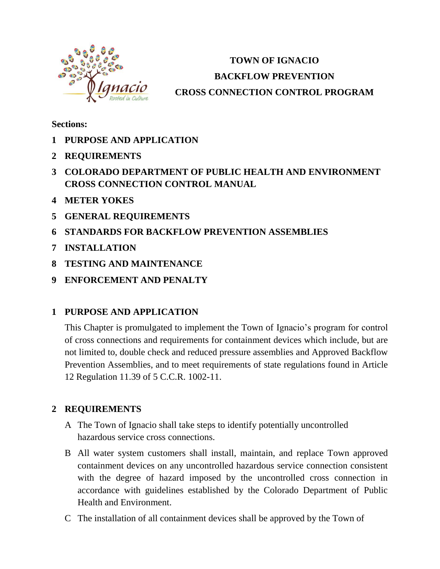

# **TOWN OF IGNACIO BACKFLOW PREVENTION CROSS CONNECTION CONTROL PROGRAM**

**Sections:**

- **1 PURPOSE AND APPLICATION**
- **2 REQUIREMENTS**
- **3 COLORADO DEPARTMENT OF PUBLIC HEALTH AND ENVIRONMENT CROSS CONNECTION CONTROL MANUAL**
- **4 METER YOKES**
- **5 GENERAL REQUIREMENTS**
- **6 STANDARDS FOR BACKFLOW PREVENTION ASSEMBLIES**
- **7 INSTALLATION**
- **8 TESTING AND MAINTENANCE**
- **9 ENFORCEMENT AND PENALTY**

## **1 PURPOSE AND APPLICATION**

This Chapter is promulgated to implement the Town of Ignacio's program for control of cross connections and requirements for containment devices which include, but are not limited to, double check and reduced pressure assemblies and Approved Backflow Prevention Assemblies, and to meet requirements of state regulations found in Article 12 Regulation 11.39 of 5 C.C.R. 1002-11.

## **2 REQUIREMENTS**

- A The Town of Ignacio shall take steps to identify potentially uncontrolled hazardous service cross connections.
- B All water system customers shall install, maintain, and replace Town approved containment devices on any uncontrolled hazardous service connection consistent with the degree of hazard imposed by the uncontrolled cross connection in accordance with guidelines established by the Colorado Department of Public Health and Environment.
- C The installation of all containment devices shall be approved by the Town of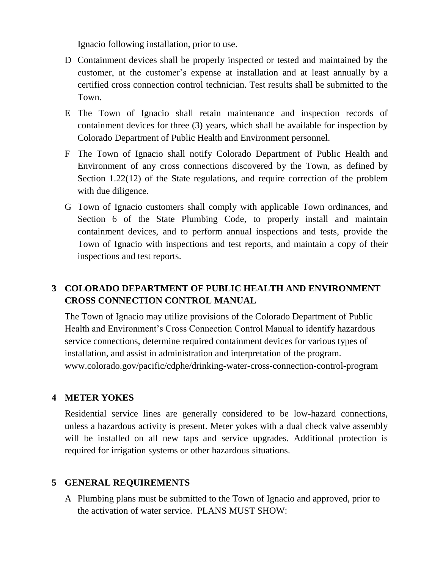Ignacio following installation, prior to use.

- D Containment devices shall be properly inspected or tested and maintained by the customer, at the customer's expense at installation and at least annually by a certified cross connection control technician. Test results shall be submitted to the Town.
- E The Town of Ignacio shall retain maintenance and inspection records of containment devices for three (3) years, which shall be available for inspection by Colorado Department of Public Health and Environment personnel.
- F The Town of Ignacio shall notify Colorado Department of Public Health and Environment of any cross connections discovered by the Town, as defined by Section 1.22(12) of the State regulations, and require correction of the problem with due diligence.
- G Town of Ignacio customers shall comply with applicable Town ordinances, and Section 6 of the State Plumbing Code, to properly install and maintain containment devices, and to perform annual inspections and tests, provide the Town of Ignacio with inspections and test reports, and maintain a copy of their inspections and test reports.

# **3 COLORADO DEPARTMENT OF PUBLIC HEALTH AND ENVIRONMENT CROSS CONNECTION CONTROL MANUAL**

The Town of Ignacio may utilize provisions of the Colorado Department of Public Health and Environment's Cross Connection Control Manual to identify hazardous service connections, determine required containment devices for various types of installation, and assist in administration and interpretation of the program. www.colorado.gov/pacific/cdphe/drinking-water-cross-connection-control-program

## **4 METER YOKES**

Residential service lines are generally considered to be low-hazard connections, unless a hazardous activity is present. Meter yokes with a dual check valve assembly will be installed on all new taps and service upgrades. Additional protection is required for irrigation systems or other hazardous situations.

## **5 GENERAL REQUIREMENTS**

A Plumbing plans must be submitted to the Town of Ignacio and approved, prior to the activation of water service. PLANS MUST SHOW: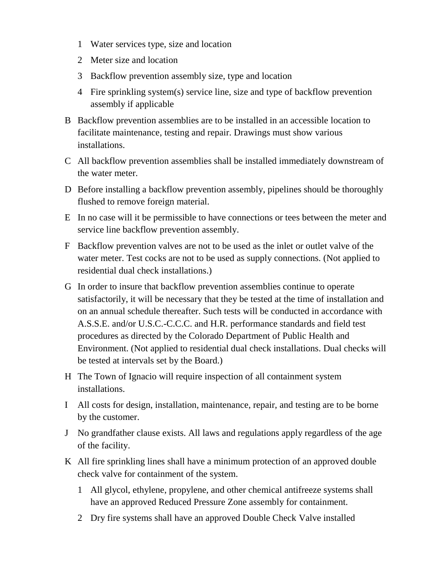- 1 Water services type, size and location
- 2 Meter size and location
- 3 Backflow prevention assembly size, type and location
- 4 Fire sprinkling system(s) service line, size and type of backflow prevention assembly if applicable
- B Backflow prevention assemblies are to be installed in an accessible location to facilitate maintenance, testing and repair. Drawings must show various installations.
- C All backflow prevention assemblies shall be installed immediately downstream of the water meter.
- D Before installing a backflow prevention assembly, pipelines should be thoroughly flushed to remove foreign material.
- E In no case will it be permissible to have connections or tees between the meter and service line backflow prevention assembly.
- F Backflow prevention valves are not to be used as the inlet or outlet valve of the water meter. Test cocks are not to be used as supply connections. (Not applied to residential dual check installations.)
- G In order to insure that backflow prevention assemblies continue to operate satisfactorily, it will be necessary that they be tested at the time of installation and on an annual schedule thereafter. Such tests will be conducted in accordance with A.S.S.E. and/or U.S.C.-C.C.C. and H.R. performance standards and field test procedures as directed by the Colorado Department of Public Health and Environment. (Not applied to residential dual check installations. Dual checks will be tested at intervals set by the Board.)
- H The Town of Ignacio will require inspection of all containment system installations.
- I All costs for design, installation, maintenance, repair, and testing are to be borne by the customer.
- J No grandfather clause exists. All laws and regulations apply regardless of the age of the facility.
- K All fire sprinkling lines shall have a minimum protection of an approved double check valve for containment of the system.
	- 1 All glycol, ethylene, propylene, and other chemical antifreeze systems shall have an approved Reduced Pressure Zone assembly for containment.
	- 2 Dry fire systems shall have an approved Double Check Valve installed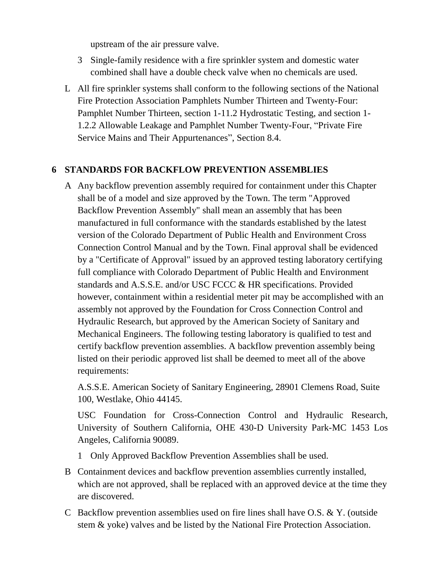upstream of the air pressure valve.

- 3 Single-family residence with a fire sprinkler system and domestic water combined shall have a double check valve when no chemicals are used.
- L All fire sprinkler systems shall conform to the following sections of the National Fire Protection Association Pamphlets Number Thirteen and Twenty-Four: Pamphlet Number Thirteen, section 1-11.2 Hydrostatic Testing, and section 1- 1.2.2 Allowable Leakage and Pamphlet Number Twenty-Four, "Private Fire Service Mains and Their Appurtenances", Section 8.4.

#### **6 STANDARDS FOR BACKFLOW PREVENTION ASSEMBLIES**

A Any backflow prevention assembly required for containment under this Chapter shall be of a model and size approved by the Town. The term "Approved Backflow Prevention Assembly" shall mean an assembly that has been manufactured in full conformance with the standards established by the latest version of the Colorado Department of Public Health and Environment Cross Connection Control Manual and by the Town. Final approval shall be evidenced by a "Certificate of Approval" issued by an approved testing laboratory certifying full compliance with Colorado Department of Public Health and Environment standards and A.S.S.E. and/or USC FCCC & HR specifications. Provided however, containment within a residential meter pit may be accomplished with an assembly not approved by the Foundation for Cross Connection Control and Hydraulic Research, but approved by the American Society of Sanitary and Mechanical Engineers. The following testing laboratory is qualified to test and certify backflow prevention assemblies. A backflow prevention assembly being listed on their periodic approved list shall be deemed to meet all of the above requirements:

A.S.S.E. American Society of Sanitary Engineering, 28901 Clemens Road, Suite 100, Westlake, Ohio 44145.

USC Foundation for Cross-Connection Control and Hydraulic Research, University of Southern California, OHE 430-D University Park-MC 1453 Los Angeles, California 90089.

- 1 Only Approved Backflow Prevention Assemblies shall be used.
- B Containment devices and backflow prevention assemblies currently installed, which are not approved, shall be replaced with an approved device at the time they are discovered.
- C Backflow prevention assemblies used on fire lines shall have O.S. & Y. (outside stem & yoke) valves and be listed by the National Fire Protection Association.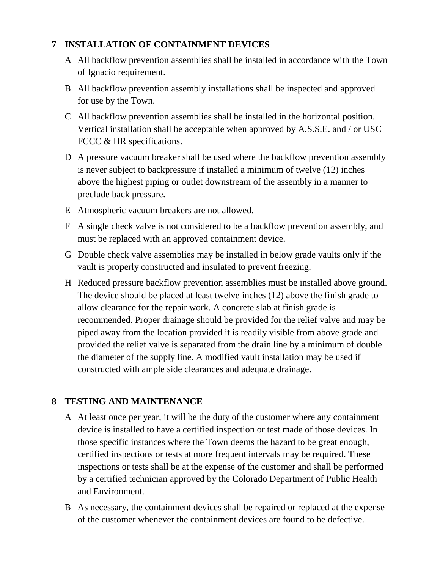## **7 INSTALLATION OF CONTAINMENT DEVICES**

- A All backflow prevention assemblies shall be installed in accordance with the Town of Ignacio requirement.
- B All backflow prevention assembly installations shall be inspected and approved for use by the Town.
- C All backflow prevention assemblies shall be installed in the horizontal position. Vertical installation shall be acceptable when approved by A.S.S.E. and / or USC FCCC & HR specifications.
- D A pressure vacuum breaker shall be used where the backflow prevention assembly is never subject to backpressure if installed a minimum of twelve (12) inches above the highest piping or outlet downstream of the assembly in a manner to preclude back pressure.
- E Atmospheric vacuum breakers are not allowed.
- F A single check valve is not considered to be a backflow prevention assembly, and must be replaced with an approved containment device.
- G Double check valve assemblies may be installed in below grade vaults only if the vault is properly constructed and insulated to prevent freezing.
- H Reduced pressure backflow prevention assemblies must be installed above ground. The device should be placed at least twelve inches (12) above the finish grade to allow clearance for the repair work. A concrete slab at finish grade is recommended. Proper drainage should be provided for the relief valve and may be piped away from the location provided it is readily visible from above grade and provided the relief valve is separated from the drain line by a minimum of double the diameter of the supply line. A modified vault installation may be used if constructed with ample side clearances and adequate drainage.

## **8 TESTING AND MAINTENANCE**

- A At least once per year, it will be the duty of the customer where any containment device is installed to have a certified inspection or test made of those devices. In those specific instances where the Town deems the hazard to be great enough, certified inspections or tests at more frequent intervals may be required. These inspections or tests shall be at the expense of the customer and shall be performed by a certified technician approved by the Colorado Department of Public Health and Environment.
- B As necessary, the containment devices shall be repaired or replaced at the expense of the customer whenever the containment devices are found to be defective.